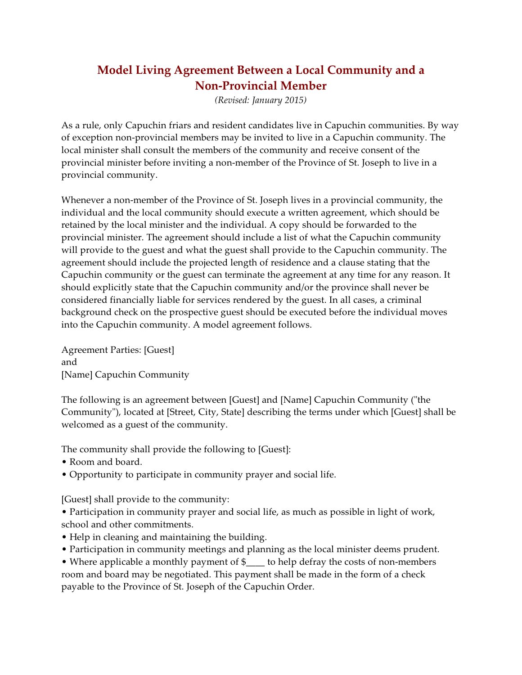## **Model Living Agreement Between a Local Community and a Non-Provincial Member**

*(Revised: January 2015)*

As a rule, only Capuchin friars and resident candidates live in Capuchin communities. By way of exception non-provincial members may be invited to live in a Capuchin community. The local minister shall consult the members of the community and receive consent of the provincial minister before inviting a non-member of the Province of St. Joseph to live in a provincial community.

Whenever a non-member of the Province of St. Joseph lives in a provincial community, the individual and the local community should execute a written agreement, which should be retained by the local minister and the individual. A copy should be forwarded to the provincial minister. The agreement should include a list of what the Capuchin community will provide to the guest and what the guest shall provide to the Capuchin community. The agreement should include the projected length of residence and a clause stating that the Capuchin community or the guest can terminate the agreement at any time for any reason. It should explicitly state that the Capuchin community and/or the province shall never be considered financially liable for services rendered by the guest. In all cases, a criminal background check on the prospective guest should be executed before the individual moves into the Capuchin community. A model agreement follows.

Agreement Parties: [Guest] and [Name] Capuchin Community

The following is an agreement between [Guest] and [Name] Capuchin Community ("the Community"), located at [Street, City, State] describing the terms under which [Guest] shall be welcomed as a guest of the community.

The community shall provide the following to [Guest]:

- Room and board.
- Opportunity to participate in community prayer and social life.

[Guest] shall provide to the community:

• Participation in community prayer and social life, as much as possible in light of work, school and other commitments.

- Help in cleaning and maintaining the building.
- Participation in community meetings and planning as the local minister deems prudent.

• Where applicable a monthly payment of \$\_\_\_\_ to help defray the costs of non-members room and board may be negotiated. This payment shall be made in the form of a check payable to the Province of St. Joseph of the Capuchin Order.